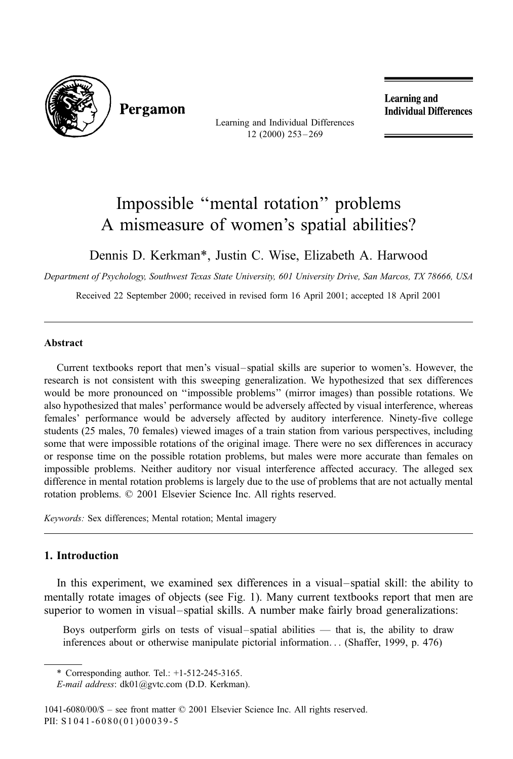

Pergamon

Learning and Individual Differences 12 (2000) 253 – 269

Learning and **Individual Differences** 

## Impossible ''mental rotation'' problems A mismeasure of women's spatial abilities?

Dennis D. Kerkman\*, Justin C. Wise, Elizabeth A. Harwood

Department of Psychology, Southwest Texas State University, 601 University Drive, San Marcos, TX 78666, USA

Received 22 September 2000; received in revised form 16 April 2001; accepted 18 April 2001

## Abstract

Current textbooks report that men's visual– spatial skills are superior to women's. However, the research is not consistent with this sweeping generalization. We hypothesized that sex differences would be more pronounced on ''impossible problems'' (mirror images) than possible rotations. We also hypothesized that males' performance would be adversely affected by visual interference, whereas females' performance would be adversely affected by auditory interference. Ninety-five college students (25 males, 70 females) viewed images of a train station from various perspectives, including some that were impossible rotations of the original image. There were no sex differences in accuracy or response time on the possible rotation problems, but males were more accurate than females on impossible problems. Neither auditory nor visual interference affected accuracy. The alleged sex difference in mental rotation problems is largely due to the use of problems that are not actually mental rotation problems.  $\oslash$  2001 Elsevier Science Inc. All rights reserved.

Keywords: Sex differences; Mental rotation; Mental imagery

## 1. Introduction

In this experiment, we examined sex differences in a visual–spatial skill: the ability to mentally rotate images of objects (see Fig. 1). Many current textbooks report that men are superior to women in visual–spatial skills. A number make fairly broad generalizations:

Boys outperform girls on tests of visual–spatial abilities — that is, the ability to draw inferences about or otherwise manipulate pictorial information... (Shaffer, 1999, p. 476)

<sup>\*</sup> Corresponding author. Tel.: +1-512-245-3165.

E-mail address: dk01@gvtc.com (D.D. Kerkman).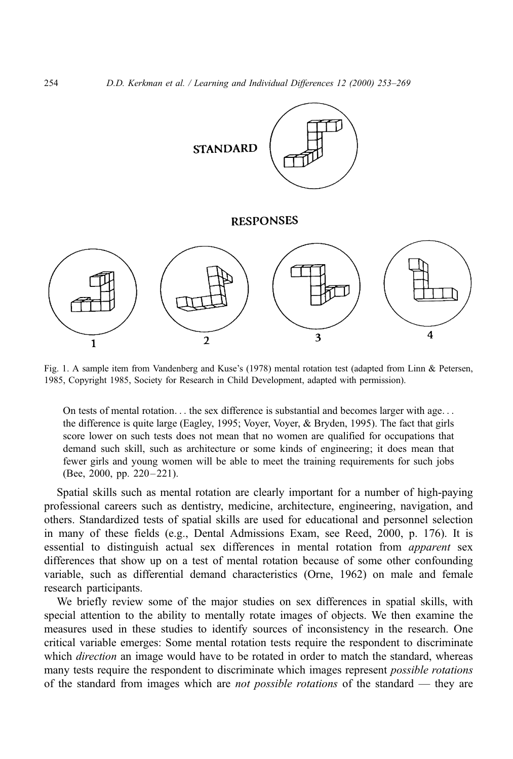

Fig. 1. A sample item from Vandenberg and Kuse's (1978) mental rotation test (adapted from Linn & Petersen, 1985, Copyright 1985, Society for Research in Child Development, adapted with permission).

On tests of mental rotation... the sex difference is substantial and becomes larger with age... the difference is quite large (Eagley, 1995; Voyer, Voyer, & Bryden, 1995). The fact that girls score lower on such tests does not mean that no women are qualified for occupations that demand such skill, such as architecture or some kinds of engineering; it does mean that fewer girls and young women will be able to meet the training requirements for such jobs (Bee, 2000, pp. 220–221).

Spatial skills such as mental rotation are clearly important for a number of high-paying professional careers such as dentistry, medicine, architecture, engineering, navigation, and others. Standardized tests of spatial skills are used for educational and personnel selection in many of these fields (e.g., Dental Admissions Exam, see Reed, 2000, p. 176). It is essential to distinguish actual sex differences in mental rotation from apparent sex differences that show up on a test of mental rotation because of some other confounding variable, such as differential demand characteristics (Orne, 1962) on male and female research participants.

We briefly review some of the major studies on sex differences in spatial skills, with special attention to the ability to mentally rotate images of objects. We then examine the measures used in these studies to identify sources of inconsistency in the research. One critical variable emerges: Some mental rotation tests require the respondent to discriminate which *direction* an image would have to be rotated in order to match the standard, whereas many tests require the respondent to discriminate which images represent *possible rotations* of the standard from images which are *not possible rotations* of the standard — they are